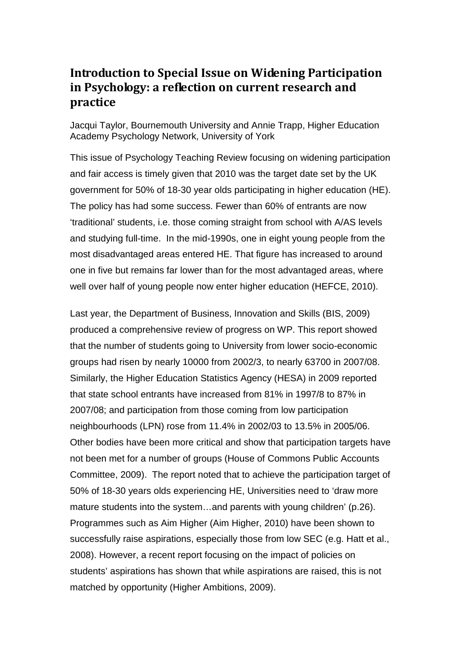# **Introduction to Special Issue on Widening Participation in Psychology: a reflection on current research and practice**

Jacqui Taylor, Bournemouth University and Annie Trapp, Higher Education Academy Psychology Network, University of York

This issue of Psychology Teaching Review focusing on widening participation and fair access is timely given that 2010 was the target date set by the UK government for 50% of 18-30 year olds participating in higher education (HE). The policy has had some success. Fewer than 60% of entrants are now 'traditional' students, i.e. those coming straight from school with A/AS levels and studying full-time. In the mid-1990s, one in eight young people from the most disadvantaged areas entered HE. That figure has increased to around one in five but remains far lower than for the most advantaged areas, where well over half of young people now enter higher education (HEFCE, 2010).

Last year, the Department of Business, Innovation and Skills (BIS, 2009) produced a comprehensive review of progress on WP. This report showed that the number of students going to University from lower socio-economic groups had risen by nearly 10000 from 2002/3, to nearly 63700 in 2007/08. Similarly, the Higher Education Statistics Agency (HESA) in 2009 reported that state school entrants have increased from 81% in 1997/8 to 87% in 2007/08; and participation from those coming from low participation neighbourhoods (LPN) rose from 11.4% in 2002/03 to 13.5% in 2005/06. Other bodies have been more critical and show that participation targets have not been met for a number of groups (House of Commons Public Accounts Committee, 2009). The report noted that to achieve the participation target of 50% of 18-30 years olds experiencing HE, Universities need to 'draw more mature students into the system…and parents with young children' (p.26). Programmes such as Aim Higher (Aim Higher, 2010) have been shown to successfully raise aspirations, especially those from low SEC (e.g. Hatt et al., 2008). However, a recent report focusing on the impact of policies on students' aspirations has shown that while aspirations are raised, this is not matched by opportunity (Higher Ambitions, 2009).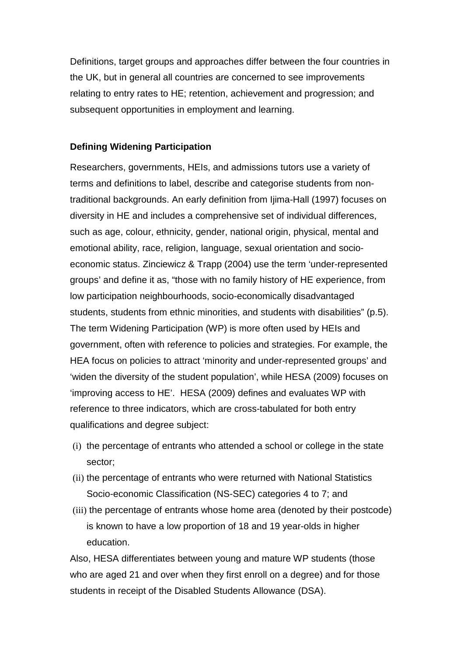Definitions, target groups and approaches differ between the four countries in the UK, but in general all countries are concerned to see improvements relating to entry rates to HE; retention, achievement and progression; and subsequent opportunities in employment and learning.

## **Defining Widening Participation**

Researchers, governments, HEIs, and admissions tutors use a variety of terms and definitions to label, describe and categorise students from nontraditional backgrounds. An early definition from Ijima-Hall (1997) focuses on diversity in HE and includes a comprehensive set of individual differences, such as age, colour, ethnicity, gender, national origin, physical, mental and emotional ability, race, religion, language, sexual orientation and socioeconomic status. Zinciewicz & Trapp (2004) use the term 'under-represented groups' and define it as, "those with no family history of HE experience, from low participation neighbourhoods, socio-economically disadvantaged students, students from ethnic minorities, and students with disabilities" (p.5). The term Widening Participation (WP) is more often used by HEIs and government, often with reference to policies and strategies. For example, the HEA focus on policies to attract 'minority and under-represented groups' and 'widen the diversity of the student population', while HESA (2009) focuses on 'improving access to HE'. HESA (2009) defines and evaluates WP with reference to three indicators, which are cross-tabulated for both entry qualifications and degree subject:

- (i) the percentage of entrants who attended a school or college in the state sector;
- (ii) the percentage of entrants who were returned with National Statistics Socio-economic Classification (NS-SEC) categories 4 to 7; and
- (iii) the percentage of entrants whose home area (denoted by their postcode) is known to have a low proportion of 18 and 19 year-olds in higher education.

Also, HESA differentiates between young and mature WP students (those who are aged 21 and over when they first enroll on a degree) and for those students in receipt of the Disabled Students Allowance (DSA).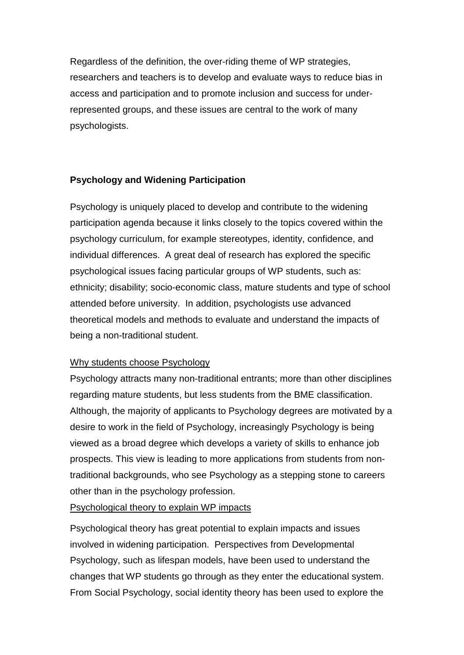Regardless of the definition, the over-riding theme of WP strategies, researchers and teachers is to develop and evaluate ways to reduce bias in access and participation and to promote inclusion and success for underrepresented groups, and these issues are central to the work of many psychologists.

# **Psychology and Widening Participation**

Psychology is uniquely placed to develop and contribute to the widening participation agenda because it links closely to the topics covered within the psychology curriculum, for example stereotypes, identity, confidence, and individual differences. A great deal of research has explored the specific psychological issues facing particular groups of WP students, such as: ethnicity; disability; socio-economic class, mature students and type of school attended before university. In addition, psychologists use advanced theoretical models and methods to evaluate and understand the impacts of being a non-traditional student.

# Why students choose Psychology

Psychology attracts many non-traditional entrants; more than other disciplines regarding mature students, but less students from the BME classification. Although, the majority of applicants to Psychology degrees are motivated by a desire to work in the field of Psychology, increasingly Psychology is being viewed as a broad degree which develops a variety of skills to enhance job prospects. This view is leading to more applications from students from nontraditional backgrounds, who see Psychology as a stepping stone to careers other than in the psychology profession.

Psychological theory to explain WP impacts

Psychological theory has great potential to explain impacts and issues involved in widening participation. Perspectives from Developmental Psychology, such as lifespan models, have been used to understand the changes that WP students go through as they enter the educational system. From Social Psychology, social identity theory has been used to explore the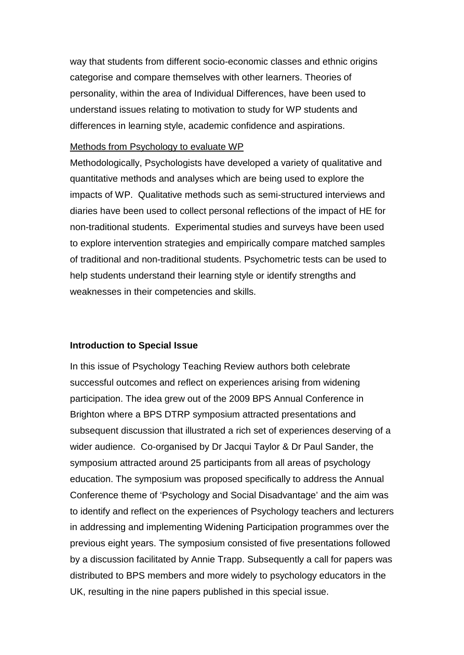way that students from different socio-economic classes and ethnic origins categorise and compare themselves with other learners. Theories of personality, within the area of Individual Differences, have been used to understand issues relating to motivation to study for WP students and differences in learning style, academic confidence and aspirations.

#### Methods from Psychology to evaluate WP

Methodologically, Psychologists have developed a variety of qualitative and quantitative methods and analyses which are being used to explore the impacts of WP. Qualitative methods such as semi-structured interviews and diaries have been used to collect personal reflections of the impact of HE for non-traditional students. Experimental studies and surveys have been used to explore intervention strategies and empirically compare matched samples of traditional and non-traditional students. Psychometric tests can be used to help students understand their learning style or identify strengths and weaknesses in their competencies and skills.

### **Introduction to Special Issue**

In this issue of Psychology Teaching Review authors both celebrate successful outcomes and reflect on experiences arising from widening participation. The idea grew out of the 2009 BPS Annual Conference in Brighton where a BPS DTRP symposium attracted presentations and subsequent discussion that illustrated a rich set of experiences deserving of a wider audience. Co-organised by Dr Jacqui Taylor & Dr Paul Sander, the symposium attracted around 25 participants from all areas of psychology education. The symposium was proposed specifically to address the Annual Conference theme of 'Psychology and Social Disadvantage' and the aim was to identify and reflect on the experiences of Psychology teachers and lecturers in addressing and implementing Widening Participation programmes over the previous eight years. The symposium consisted of five presentations followed by a discussion facilitated by Annie Trapp. Subsequently a call for papers was distributed to BPS members and more widely to psychology educators in the UK, resulting in the nine papers published in this special issue.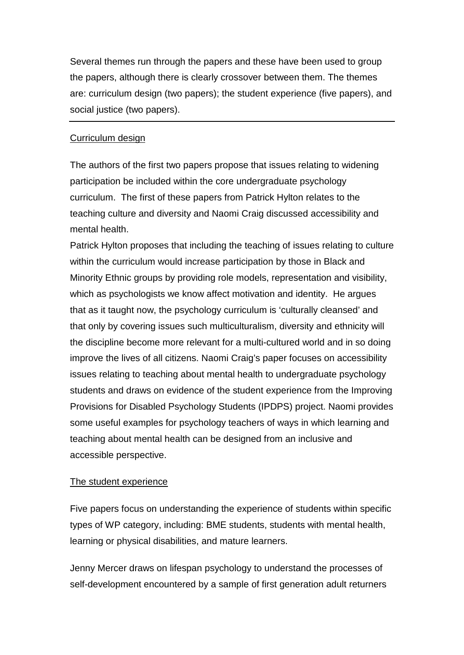Several themes run through the papers and these have been used to group the papers, although there is clearly crossover between them. The themes are: curriculum design (two papers); the student experience (five papers), and social justice (two papers).

## Curriculum design

The authors of the first two papers propose that issues relating to widening participation be included within the core undergraduate psychology curriculum. The first of these papers from Patrick Hylton relates to the teaching culture and diversity and Naomi Craig discussed accessibility and mental health.

Patrick Hylton proposes that including the teaching of issues relating to culture within the curriculum would increase participation by those in Black and Minority Ethnic groups by providing role models, representation and visibility, which as psychologists we know affect motivation and identity. He argues that as it taught now, the psychology curriculum is 'culturally cleansed' and that only by covering issues such multiculturalism, diversity and ethnicity will the discipline become more relevant for a multi-cultured world and in so doing improve the lives of all citizens. Naomi Craig's paper focuses on accessibility issues relating to teaching about mental health to undergraduate psychology students and draws on evidence of the student experience from the Improving Provisions for Disabled Psychology Students (IPDPS) project. Naomi provides some useful examples for psychology teachers of ways in which learning and teaching about mental health can be designed from an inclusive and accessible perspective.

# The student experience

Five papers focus on understanding the experience of students within specific types of WP category, including: BME students, students with mental health, learning or physical disabilities, and mature learners.

Jenny Mercer draws on lifespan psychology to understand the processes of self-development encountered by a sample of first generation adult returners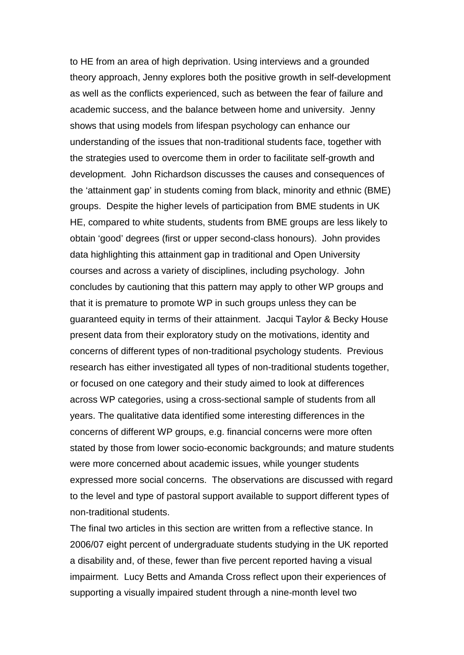to HE from an area of high deprivation. Using interviews and a grounded theory approach, Jenny explores both the positive growth in self-development as well as the conflicts experienced, such as between the fear of failure and academic success, and the balance between home and university. Jenny shows that using models from lifespan psychology can enhance our understanding of the issues that non-traditional students face, together with the strategies used to overcome them in order to facilitate self-growth and development. John Richardson discusses the causes and consequences of the 'attainment gap' in students coming from black, minority and ethnic (BME) groups. Despite the higher levels of participation from BME students in UK HE, compared to white students, students from BME groups are less likely to obtain 'good' degrees (first or upper second-class honours). John provides data highlighting this attainment gap in traditional and Open University courses and across a variety of disciplines, including psychology. John concludes by cautioning that this pattern may apply to other WP groups and that it is premature to promote WP in such groups unless they can be guaranteed equity in terms of their attainment. Jacqui Taylor & Becky House present data from their exploratory study on the motivations, identity and concerns of different types of non-traditional psychology students. Previous research has either investigated all types of non-traditional students together, or focused on one category and their study aimed to look at differences across WP categories, using a cross-sectional sample of students from all years. The qualitative data identified some interesting differences in the concerns of different WP groups, e.g. financial concerns were more often stated by those from lower socio-economic backgrounds; and mature students were more concerned about academic issues, while younger students expressed more social concerns. The observations are discussed with regard to the level and type of pastoral support available to support different types of non-traditional students.

The final two articles in this section are written from a reflective stance. In 2006/07 eight percent of undergraduate students studying in the UK reported a disability and, of these, fewer than five percent reported having a visual impairment. Lucy Betts and Amanda Cross reflect upon their experiences of supporting a visually impaired student through a nine-month level two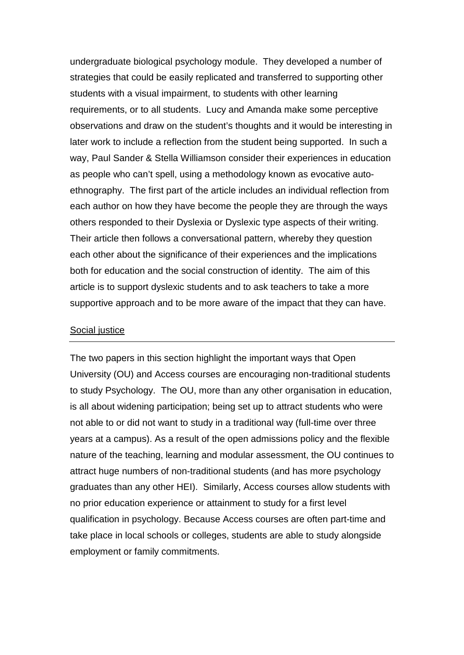undergraduate biological psychology module. They developed a number of strategies that could be easily replicated and transferred to supporting other students with a visual impairment, to students with other learning requirements, or to all students. Lucy and Amanda make some perceptive observations and draw on the student's thoughts and it would be interesting in later work to include a reflection from the student being supported. In such a way, Paul Sander & Stella Williamson consider their experiences in education as people who can't spell, using a methodology known as evocative autoethnography. The first part of the article includes an individual reflection from each author on how they have become the people they are through the ways others responded to their Dyslexia or Dyslexic type aspects of their writing. Their article then follows a conversational pattern, whereby they question each other about the significance of their experiences and the implications both for education and the social construction of identity. The aim of this article is to support dyslexic students and to ask teachers to take a more supportive approach and to be more aware of the impact that they can have.

## Social justice

The two papers in this section highlight the important ways that Open University (OU) and Access courses are encouraging non-traditional students to study Psychology. The OU, more than any other organisation in education, is all about widening participation; being set up to attract students who were not able to or did not want to study in a traditional way (full-time over three years at a campus). As a result of the open admissions policy and the flexible nature of the teaching, learning and modular assessment, the OU continues to attract huge numbers of non-traditional students (and has more psychology graduates than any other HEI). Similarly, Access courses allow students with no prior education experience or attainment to study for a first level qualification in psychology. Because Access courses are often part-time and take place in local schools or colleges, students are able to study alongside employment or family commitments.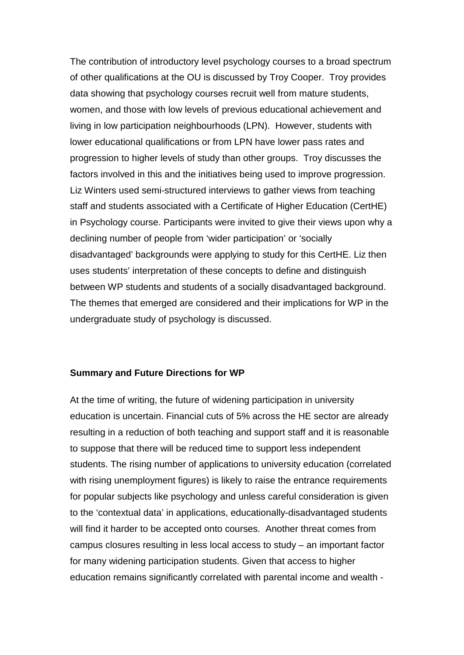The contribution of introductory level psychology courses to a broad spectrum of other qualifications at the OU is discussed by Troy Cooper. Troy provides data showing that psychology courses recruit well from mature students, women, and those with low levels of previous educational achievement and living in low participation neighbourhoods (LPN). However, students with lower educational qualifications or from LPN have lower pass rates and progression to higher levels of study than other groups. Troy discusses the factors involved in this and the initiatives being used to improve progression. Liz Winters used semi-structured interviews to gather views from teaching staff and students associated with a Certificate of Higher Education (CertHE) in Psychology course. Participants were invited to give their views upon why a declining number of people from 'wider participation' or 'socially disadvantaged' backgrounds were applying to study for this CertHE. Liz then uses students' interpretation of these concepts to define and distinguish between WP students and students of a socially disadvantaged background. The themes that emerged are considered and their implications for WP in the undergraduate study of psychology is discussed.

#### **Summary and Future Directions for WP**

At the time of writing, the future of widening participation in university education is uncertain. Financial cuts of 5% across the HE sector are already resulting in a reduction of both teaching and support staff and it is reasonable to suppose that there will be reduced time to support less independent students. The rising number of applications to university education (correlated with rising unemployment figures) is likely to raise the entrance requirements for popular subjects like psychology and unless careful consideration is given to the 'contextual data' in applications, educationally-disadvantaged students will find it harder to be accepted onto courses. Another threat comes from campus closures resulting in less local access to study – an important factor for many widening participation students. Given that access to higher education remains significantly correlated with parental income and wealth -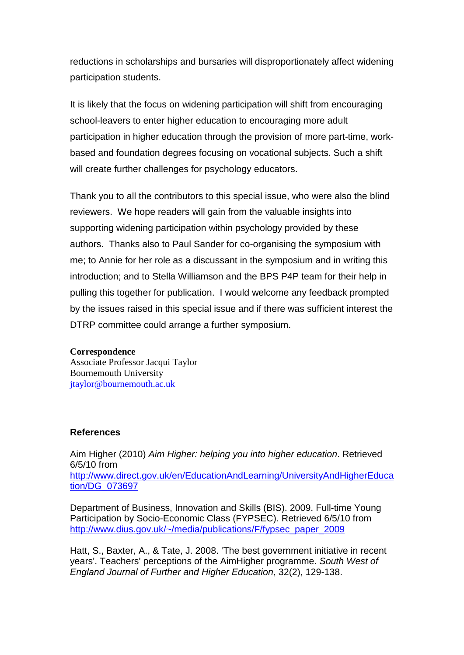reductions in scholarships and bursaries will disproportionately affect widening participation students.

It is likely that the focus on widening participation will shift from encouraging school-leavers to enter higher education to encouraging more adult participation in higher education through the provision of more part-time, workbased and foundation degrees focusing on vocational subjects. Such a shift will create further challenges for psychology educators.

Thank you to all the contributors to this special issue, who were also the blind reviewers. We hope readers will gain from the valuable insights into supporting widening participation within psychology provided by these authors. Thanks also to Paul Sander for co-organising the symposium with me; to Annie for her role as a discussant in the symposium and in writing this introduction; and to Stella Williamson and the BPS P4P team for their help in pulling this together for publication. I would welcome any feedback prompted by the issues raised in this special issue and if there was sufficient interest the DTRP committee could arrange a further symposium.

### **Correspondence**

Associate Professor Jacqui Taylor Bournemouth University [jtaylor@bournemouth.ac.uk](mailto:jtaylor@bournemouth.ac.uk)

## **References**

Aim Higher (2010) *Aim Higher: helping you into higher education*. Retrieved 6/5/10 from [http://www.direct.gov.uk/en/EducationAndLearning/UniversityAndHigherEduca](http://www.direct.gov.uk/en/EducationAndLearning/UniversityAndHigherEducation/DG_073697) [tion/DG\\_073697](http://www.direct.gov.uk/en/EducationAndLearning/UniversityAndHigherEducation/DG_073697)

Department of Business, Innovation and Skills (BIS). 2009. Full-time Young Participation by Socio-Economic Class (FYPSEC). Retrieved 6/5/10 from [http://www.dius.gov.uk/~/media/publications/F/fypsec\\_paper\\_2009](http://www.dius.gov.uk/~/media/publications/F/fypsec_paper_2009)

Hatt, S., Baxter, A., & Tate, J. 2008. 'The best government initiative in recent years'. Teachers' perceptions of the AimHigher programme. *South West of England Journal of Further and Higher Education*, 32(2), 129-138.